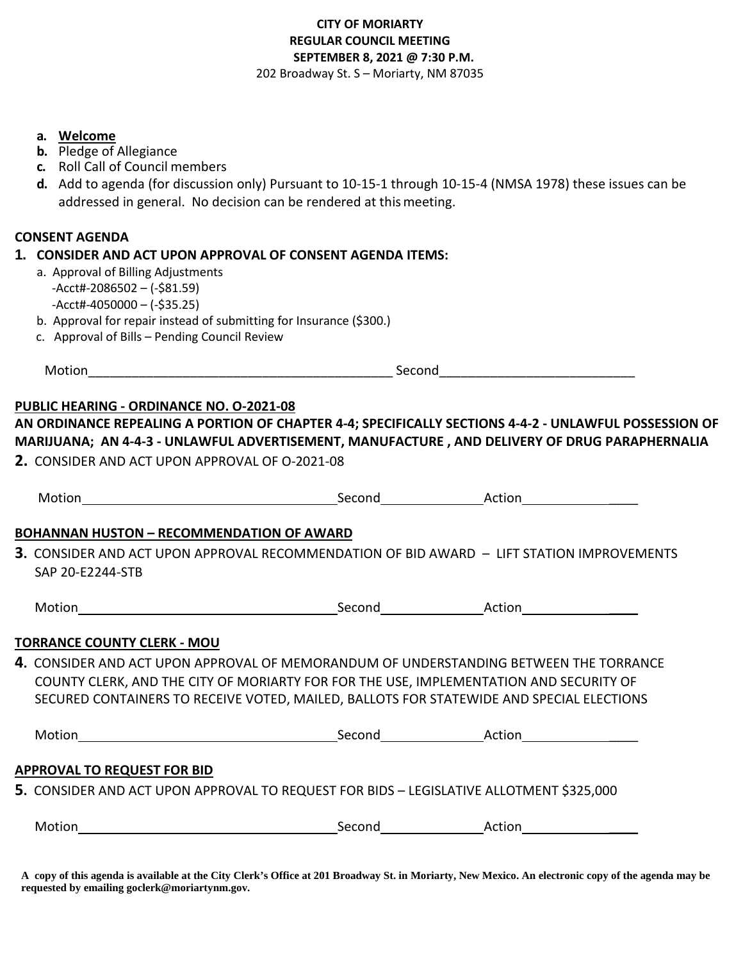## **CITY OF MORIARTY REGULAR COUNCIL MEETING SEPTEMBER 8, 2021 @ 7:30 P.M.**  202 Broadway St. S – Moriarty, NM 87035

**a. Welcome**

- **b.** Pledge of Allegiance
- **c.** Roll Call of Council members
- **d.** Add to agenda (for discussion only) Pursuant to 10-15-1 through 10-15-4 (NMSA 1978) these issues can be addressed in general. No decision can be rendered at thismeeting.

## **CONSENT AGENDA**

#### **1. CONSIDER AND ACT UPON APPROVAL OF CONSENT AGENDA ITEMS:**

- a. Approval of Billing Adjustments -Acct#-2086502 – (-\$81.59)  $-$ Acct#-4050000 – (-\$35.25)
- b. Approval for repair instead of submitting for Insurance (\$300.)
- c. Approval of Bills Pending Council Review

Motion\_\_\_\_\_\_\_\_\_\_\_\_\_\_\_\_\_\_\_\_\_\_\_\_\_\_\_\_\_\_\_\_\_\_\_\_\_\_\_\_\_\_ Second\_\_\_\_\_\_\_\_\_\_\_\_\_\_\_\_\_\_\_\_\_\_\_\_\_\_\_

#### **PUBLIC HEARING - ORDINANCE NO. O-2021-08**

# **AN ORDINANCE REPEALING A PORTION OF CHAPTER 4-4; SPECIFICALLY SECTIONS 4-4-2 - UNLAWFUL POSSESSION OF MARIJUANA; AN 4-4-3 - UNLAWFUL ADVERTISEMENT, MANUFACTURE , AND DELIVERY OF DRUG PARAPHERNALIA**

**2.** CONSIDER AND ACT UPON APPROVAL OF O-2021-08

| Motion                                                                                                                                                                                                                                                                             | Second        | Action |
|------------------------------------------------------------------------------------------------------------------------------------------------------------------------------------------------------------------------------------------------------------------------------------|---------------|--------|
| <b>BOHANNAN HUSTON - RECOMMENDATION OF AWARD</b>                                                                                                                                                                                                                                   |               |        |
| ${\bf 3}.$ CONSIDER AND ACT UPON APPROVAL RECOMMENDATION OF BID AWARD $-$ LIFT STATION IMPROVEMENTS<br>SAP 20-E2244-STB                                                                                                                                                            |               |        |
| Motion __________________________________                                                                                                                                                                                                                                          |               |        |
| <b>TORRANCE COUNTY CLERK - MOU</b>                                                                                                                                                                                                                                                 |               |        |
| <b>4.</b> CONSIDER AND ACT UPON APPROVAL OF MEMORANDUM OF UNDERSTANDING BETWEEN THE TORRANCE<br>COUNTY CLERK, AND THE CITY OF MORIARTY FOR FOR THE USE, IMPLEMENTATION AND SECURITY OF<br>SECURED CONTAINERS TO RECEIVE VOTED, MAILED, BALLOTS FOR STATEWIDE AND SPECIAL ELECTIONS |               |        |
| <b>Motion</b>                                                                                                                                                                                                                                                                      | Second Action |        |

## **APPROVAL TO REQUEST FOR BID**

**5.** CONSIDER AND ACT UPON APPROVAL TO REQUEST FOR BIDS – LEGISLATIVE ALLOTMENT \$325,000

| Motion | Second | Action |
|--------|--------|--------|
|        |        |        |

**A copy of this agenda is available at the City Clerk's Office at 201 Broadway St. in Moriarty, New Mexico. An electronic copy of the agenda may be requested by emailing goclerk@moriartynm.gov.**